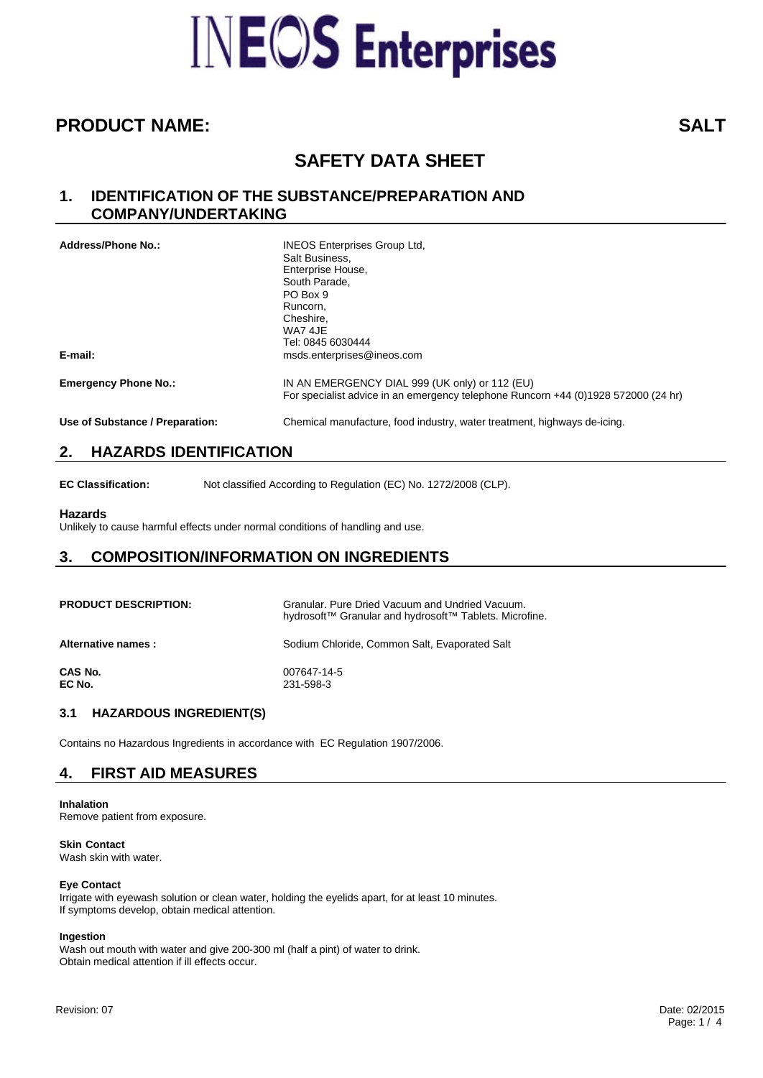# **INEOS** Enterprises

# **PRODUCT NAME: SALT**

# **SAFETY DATA SHEET**

## **1. IDENTIFICATION OF THE SUBSTANCE/PREPARATION AND COMPANY/UNDERTAKING**

| <b>Address/Phone No.:</b>       | <b>INEOS Enterprises Group Ltd.</b><br>Salt Business,<br>Enterprise House,<br>South Parade.<br>PO Box 9<br>Runcorn,<br>Cheshire.<br>WA7 4JE<br>Tel: 0845 6030444 |
|---------------------------------|------------------------------------------------------------------------------------------------------------------------------------------------------------------|
| E-mail:                         | msds.enterprises@ineos.com                                                                                                                                       |
| <b>Emergency Phone No.:</b>     | IN AN EMERGENCY DIAL 999 (UK only) or 112 (EU)<br>For specialist advice in an emergency telephone Runcorn +44 (0)1928 572000 (24 hr)                             |
| Use of Substance / Preparation: | Chemical manufacture, food industry, water treatment, highways de-icing.                                                                                         |

# **2. HAZARDS IDENTIFICATION**

**EC Classification:** Not classified According to Regulation (EC) No. 1272/2008 (CLP).

## **Hazards**

Unlikely to cause harmful effects under normal conditions of handling and use.

# **3. COMPOSITION/INFORMATION ON INGREDIENTS**

| <b>PRODUCT DESCRIPTION:</b> | Granular, Pure Dried Vacuum and Undried Vacuum.<br>hydrosoft™ Granular and hydrosoft™ Tablets. Microfine. |
|-----------------------------|-----------------------------------------------------------------------------------------------------------|
| Alternative names :         | Sodium Chloride, Common Salt, Evaporated Salt                                                             |
| CAS No.<br>EC No.           | 007647-14-5<br>231-598-3                                                                                  |

## **3.1 HAZARDOUS INGREDIENT(S)**

Contains no Hazardous Ingredients in accordance with EC Regulation 1907/2006.

# **4. FIRST AID MEASURES**

**Inhalation** Remove patient from exposure.

**Skin Contact** Wash skin with water.

## **Eye Contact**

Irrigate with eyewash solution or clean water, holding the eyelids apart, for at least 10 minutes. If symptoms develop, obtain medical attention.

## **Ingestion**

Wash out mouth with water and give 200-300 ml (half a pint) of water to drink. Obtain medical attention if ill effects occur.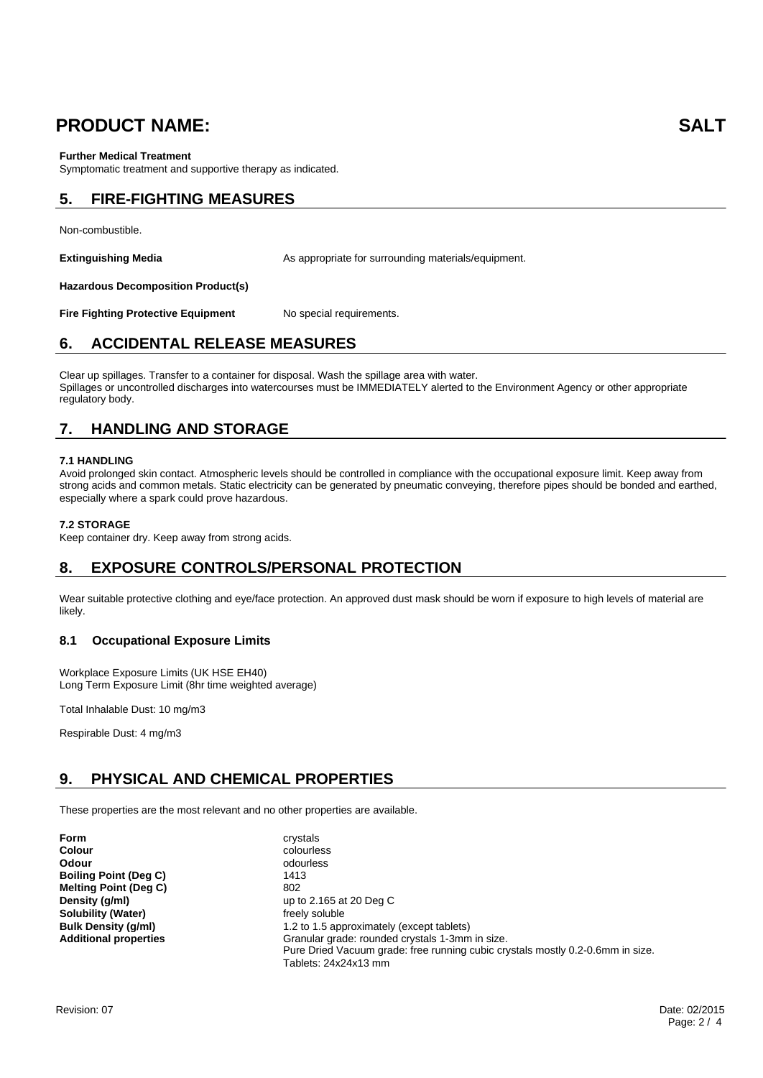# **PRODUCT NAME: SALT**

## **Further Medical Treatment**

Symptomatic treatment and supportive therapy as indicated.

# **5. FIRE-FIGHTING MEASURES**

Non-combustible.

**Extinguishing Media** As appropriate for surrounding materials/equipment.

**Hazardous Decomposition Product(s)**

**Fire Fighting Protective Equipment** No special requirements.

## **6. ACCIDENTAL RELEASE MEASURES**

Clear up spillages. Transfer to a container for disposal. Wash the spillage area with water. Spillages or uncontrolled discharges into watercourses must be IMMEDIATELY alerted to the Environment Agency or other appropriate regulatory body.

# **7. HANDLING AND STORAGE**

## **7.1 HANDLING**

Avoid prolonged skin contact. Atmospheric levels should be controlled in compliance with the occupational exposure limit. Keep away from strong acids and common metals. Static electricity can be generated by pneumatic conveying, therefore pipes should be bonded and earthed, especially where a spark could prove hazardous.

## **7.2 STORAGE**

Keep container dry. Keep away from strong acids.

## **8. EXPOSURE CONTROLS/PERSONAL PROTECTION**

Wear suitable protective clothing and eye/face protection. An approved dust mask should be worn if exposure to high levels of material are likely.

## **8.1 Occupational Exposure Limits**

Workplace Exposure Limits (UK HSE EH40) Long Term Exposure Limit (8hr time weighted average)

Total Inhalable Dust: 10 mg/m3

Respirable Dust: 4 mg/m3

# **9. PHYSICAL AND CHEMICAL PROPERTIES**

These properties are the most relevant and no other properties are available.

| Form                         | crystals                                                                                                                                                  |
|------------------------------|-----------------------------------------------------------------------------------------------------------------------------------------------------------|
| Colour                       | colourless                                                                                                                                                |
| Odour                        | odourless                                                                                                                                                 |
| <b>Boiling Point (Deg C)</b> | 1413                                                                                                                                                      |
| <b>Melting Point (Deg C)</b> | 802                                                                                                                                                       |
| Density (g/ml)               | up to $2.165$ at 20 Deg C                                                                                                                                 |
| Solubility (Water)           | freely soluble                                                                                                                                            |
| <b>Bulk Density (g/ml)</b>   | 1.2 to 1.5 approximately (except tablets)                                                                                                                 |
| <b>Additional properties</b> | Granular grade: rounded crystals 1-3mm in size.<br>Pure Dried Vacuum grade: free running cubic crystals mostly 0.2-0.6mm in size.<br>Tablets: 24x24x13 mm |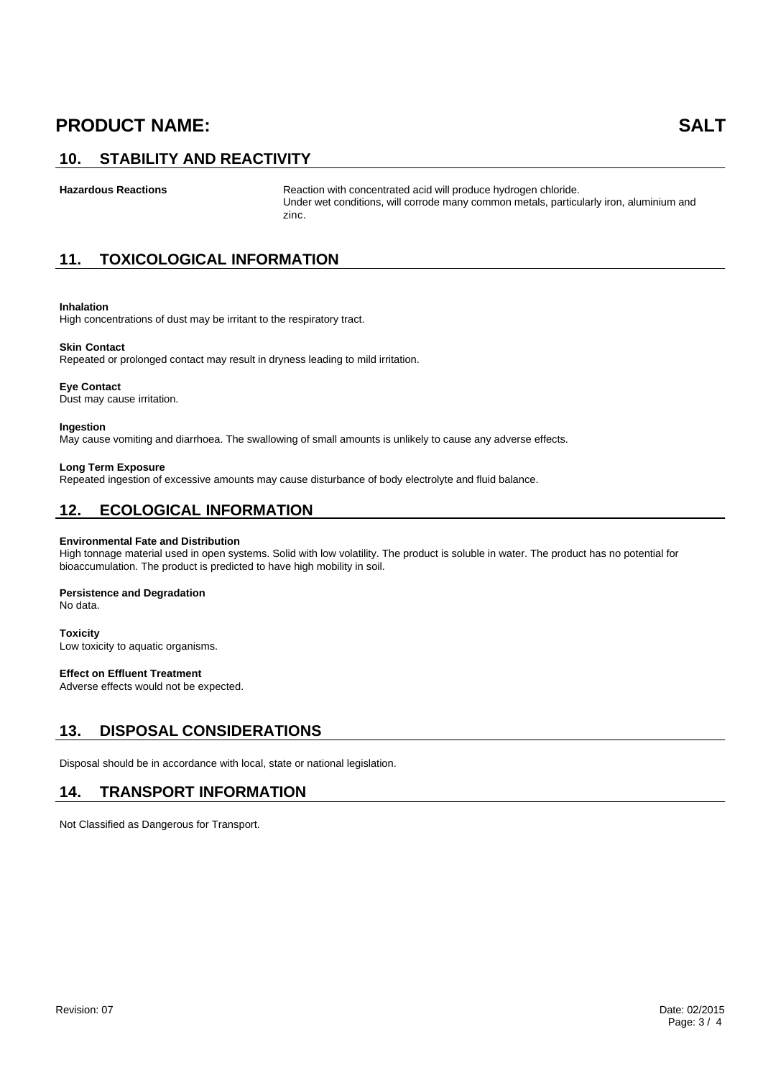# **PRODUCT NAME: SALT**

# **10. STABILITY AND REACTIVITY**

Hazardous Reactions **Reactions** Reaction with concentrated acid will produce hydrogen chloride. Under wet conditions, will corrode many common metals, particularly iron, aluminium and zinc.

# **11. TOXICOLOGICAL INFORMATION**

## **Inhalation**

High concentrations of dust may be irritant to the respiratory tract.

## **Skin Contact**

Repeated or prolonged contact may result in dryness leading to mild irritation.

#### **Eye Contact**

Dust may cause irritation.

#### **Ingestion**

May cause vomiting and diarrhoea. The swallowing of small amounts is unlikely to cause any adverse effects.

#### **Long Term Exposure**

Repeated ingestion of excessive amounts may cause disturbance of body electrolyte and fluid balance.

## **12. ECOLOGICAL INFORMATION**

#### **Environmental Fate and Distribution**

High tonnage material used in open systems. Solid with low volatility. The product is soluble in water. The product has no potential for bioaccumulation. The product is predicted to have high mobility in soil.

#### **Persistence and Degradation**

No data.

## **Toxicity**

Low toxicity to aquatic organisms.

## **Effect on Effluent Treatment**

Adverse effects would not be expected.

## **13. DISPOSAL CONSIDERATIONS**

Disposal should be in accordance with local, state or national legislation.

## **14. TRANSPORT INFORMATION**

Not Classified as Dangerous for Transport.